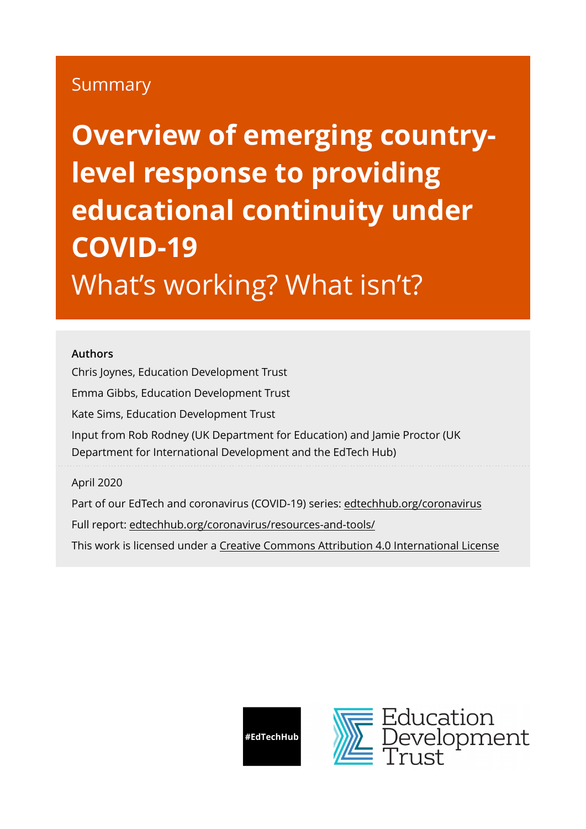# Summary

**Overview of emerging countrylevel response to providing educational continuity under COVID-19**  What's working? What isn't?

#### **Authors**

Chris Joynes, Education Development Trust Emma Gibbs, Education Development Trust Kate Sims, Education Development Trust Input from Rob Rodney (UK Department for Education) and Jamie Proctor (UK Department for International Development and the EdTech Hub)

April 2020

Part of our EdTech and coronavirus (COVID-19) series: [edtechhub.org/coronavirus](http://edtechhub.org/coronavirus) Full report: [edtechhub.org/coronavirus/resources-and-tools/](https://edtechhub.org/coronavirus/resources-and-tools/) This work is licensed under a [Creative Commons Attribution 4.0 International License](http://creativecommons.org/licenses/by/4.0/)

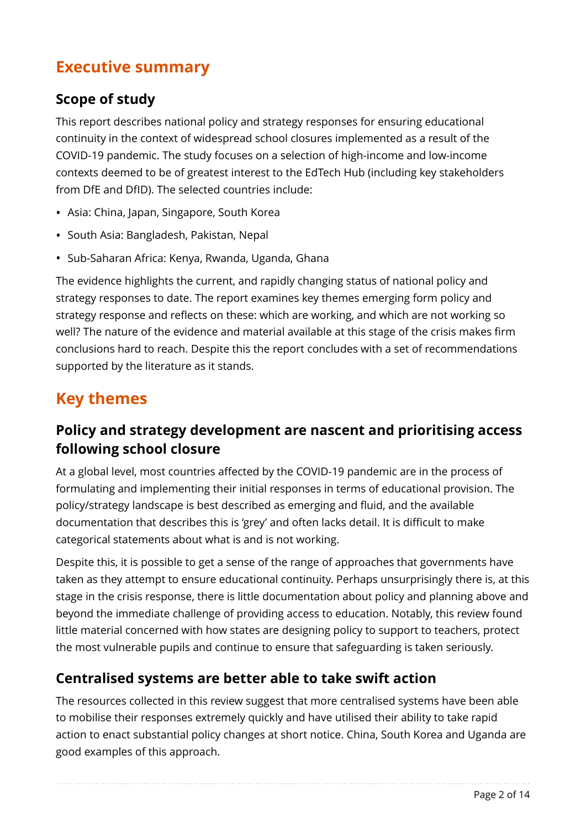# **Executive summary**

#### **Scope of study**

This report describes national policy and strategy responses for ensuring educational continuity in the context of widespread school closures implemented as a result of the COVID-19 pandemic. The study focuses on a selection of high-income and low-income contexts deemed to be of greatest interest to the EdTech Hub (including key stakeholders from DfE and DfID). The selected countries include:

- Asia: China, Japan, Singapore, South Korea
- South Asia: Bangladesh, Pakistan, Nepal
- Sub-Saharan Africa: Kenya, Rwanda, Uganda, Ghana

The evidence highlights the current, and rapidly changing status of national policy and strategy responses to date. The report examines key themes emerging form policy and strategy response and reflects on these: which are working, and which are not working so well? The nature of the evidence and material available at this stage of the crisis makes firm conclusions hard to reach. Despite this the report concludes with a set of recommendations supported by the literature as it stands.

# **Key themes**

#### **Policy and strategy development are nascent and prioritising access following school closure**

At a global level, most countries affected by the COVID-19 pandemic are in the process of formulating and implementing their initial responses in terms of educational provision. The policy/strategy landscape is best described as emerging and fluid, and the available documentation that describes this is 'grey' and often lacks detail. It is difficult to make categorical statements about what is and is not working.

Despite this, it is possible to get a sense of the range of approaches that governments have taken as they attempt to ensure educational continuity. Perhaps unsurprisingly there is, at this stage in the crisis response, there is little documentation about policy and planning above and beyond the immediate challenge of providing access to education. Notably, this review found little material concerned with how states are designing policy to support to teachers, protect the most vulnerable pupils and continue to ensure that safeguarding is taken seriously.

### **Centralised systems are better able to take swift action**

The resources collected in this review suggest that more centralised systems have been able to mobilise their responses extremely quickly and have utilised their ability to take rapid action to enact substantial policy changes at short notice. China, South Korea and Uganda are good examples of this approach.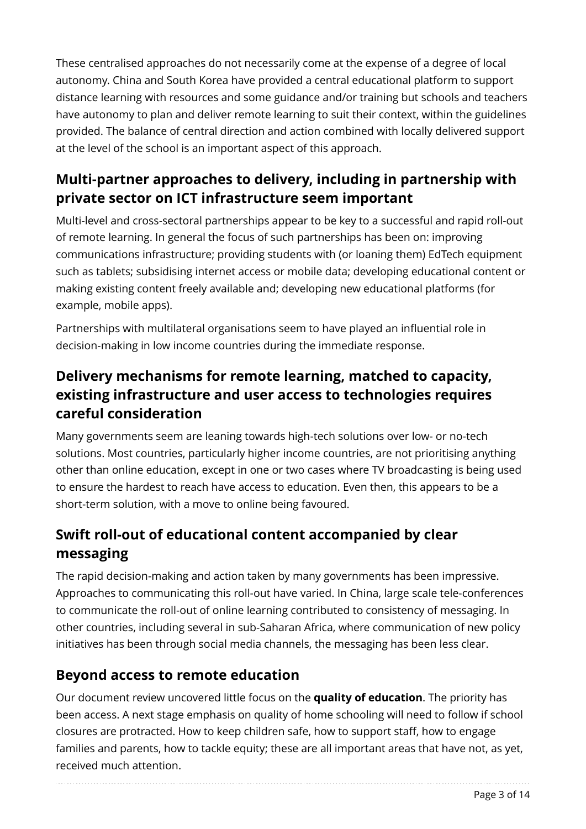These centralised approaches do not necessarily come at the expense of a degree of local autonomy. China and South Korea have provided a central educational platform to support distance learning with resources and some guidance and/or training but schools and teachers have autonomy to plan and deliver remote learning to suit their context, within the guidelines provided. The balance of central direction and action combined with locally delivered support at the level of the school is an important aspect of this approach.

### **Multi-partner approaches to delivery, including in partnership with private sector on ICT infrastructure seem important**

Multi-level and cross-sectoral partnerships appear to be key to a successful and rapid roll-out of remote learning. In general the focus of such partnerships has been on: improving communications infrastructure; providing students with (or loaning them) EdTech equipment such as tablets; subsidising internet access or mobile data; developing educational content or making existing content freely available and; developing new educational platforms (for example, mobile apps).

Partnerships with multilateral organisations seem to have played an influential role in decision-making in low income countries during the immediate response.

### **Delivery mechanisms for remote learning, matched to capacity, existing infrastructure and user access to technologies requires careful consideration**

Many governments seem are leaning towards high-tech solutions over low- or no-tech solutions. Most countries, particularly higher income countries, are not prioritising anything other than online education, except in one or two cases where TV broadcasting is being used to ensure the hardest to reach have access to education. Even then, this appears to be a short-term solution, with a move to online being favoured.

# **Swift roll-out of educational content accompanied by clear messaging**

The rapid decision-making and action taken by many governments has been impressive. Approaches to communicating this roll-out have varied. In China, large scale tele-conferences to communicate the roll-out of online learning contributed to consistency of messaging. In other countries, including several in sub-Saharan Africa, where communication of new policy initiatives has been through social media channels, the messaging has been less clear.

### **Beyond access to remote education**

Our document review uncovered little focus on the **quality of education**. The priority has been access. A next stage emphasis on quality of home schooling will need to follow if school closures are protracted. How to keep children safe, how to support staff, how to engage families and parents, how to tackle equity; these are all important areas that have not, as yet, received much attention.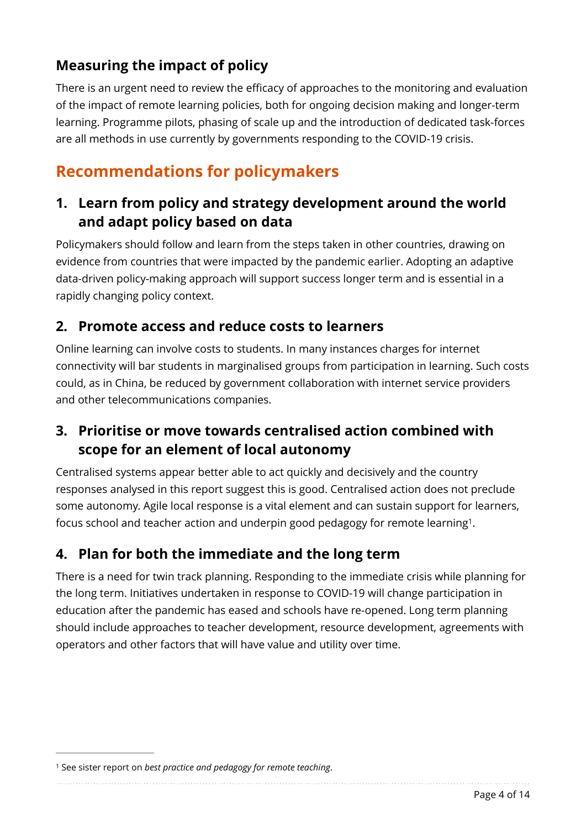## **Measuring the impact of policy**

There is an urgent need to review the efficacy of approaches to the monitoring and evaluation of the impact of remote learning policies, both for ongoing decision making and longer-term learning. Programme pilots, phasing of scale up and the introduction of dedicated task-forces are all methods in use currently by governments responding to the COVID-19 crisis.

# **Recommendations for policymakers**

### **1. Learn from policy and strategy development around the world and adapt policy based on data**

Policymakers should follow and learn from the steps taken in other countries, drawing on evidence from countries that were impacted by the pandemic earlier. Adopting an adaptive data-driven policy-making approach will support success longer term and is essential in a rapidly changing policy context.

#### **2. Promote access and reduce costs to learners**

Online learning can involve costs to students. In many instances charges for internet connectivity will bar students in marginalised groups from participation in learning. Such costs could, as in China, be reduced by government collaboration with internet service providers and other telecommunications companies.

### **3. Prioritise or move towards centralised action combined with scope for an element of local autonomy**

Centralised systems appear better able to act quickly and decisively and the country responses analysed in this report suggest this is good. Centralised action does not preclude some autonomy. Agile local response is a vital element and can sustain support for learners, focus school and teacher action and underpin good pedagogy for remote learning<sup>[1](#page-3-0)</sup>.

### <span id="page-3-1"></span>**4. Plan for both the immediate and the long term**

There is a need for twin track planning. Responding to the immediate crisis while planning for the long term. Initiatives undertaken in response to COVID-19 will change participation in education after the pandemic has eased and schools have re-opened. Long term planning should include approaches to teacher development, resource development, agreements with operators and other factors that will have value and utility over time.

<span id="page-3-0"></span><sup>&</sup>lt;sup>[1](#page-3-1)</sup> See sister report on *best practice and pedagogy for remote teaching*.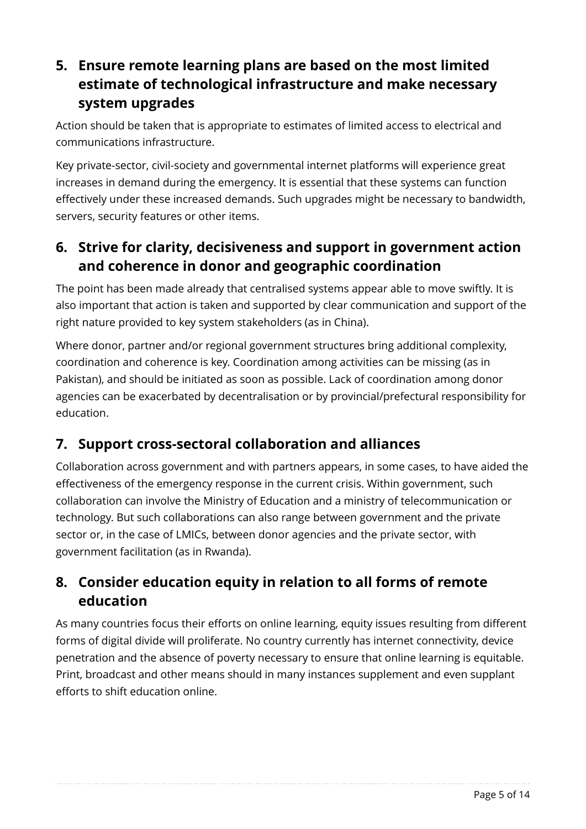## **5. Ensure remote learning plans are based on the most limited estimate of technological infrastructure and make necessary system upgrades**

Action should be taken that is appropriate to estimates of limited access to electrical and communications infrastructure.

Key private-sector, civil-society and governmental internet platforms will experience great increases in demand during the emergency. It is essential that these systems can function effectively under these increased demands. Such upgrades might be necessary to bandwidth, servers, security features or other items.

### **6. Strive for clarity, decisiveness and support in government action and coherence in donor and geographic coordination**

The point has been made already that centralised systems appear able to move swiftly. It is also important that action is taken and supported by clear communication and support of the right nature provided to key system stakeholders (as in China).

Where donor, partner and/or regional government structures bring additional complexity, coordination and coherence is key. Coordination among activities can be missing (as in Pakistan), and should be initiated as soon as possible. Lack of coordination among donor agencies can be exacerbated by decentralisation or by provincial/prefectural responsibility for education.

### **7. Support cross-sectoral collaboration and alliances**

Collaboration across government and with partners appears, in some cases, to have aided the effectiveness of the emergency response in the current crisis. Within government, such collaboration can involve the Ministry of Education and a ministry of telecommunication or technology. But such collaborations can also range between government and the private sector or, in the case of LMICs, between donor agencies and the private sector, with government facilitation (as in Rwanda).

### **8. Consider education equity in relation to all forms of remote education**

As many countries focus their efforts on online learning, equity issues resulting from different forms of digital divide will proliferate. No country currently has internet connectivity, device penetration and the absence of poverty necessary to ensure that online learning is equitable. Print, broadcast and other means should in many instances supplement and even supplant efforts to shift education online.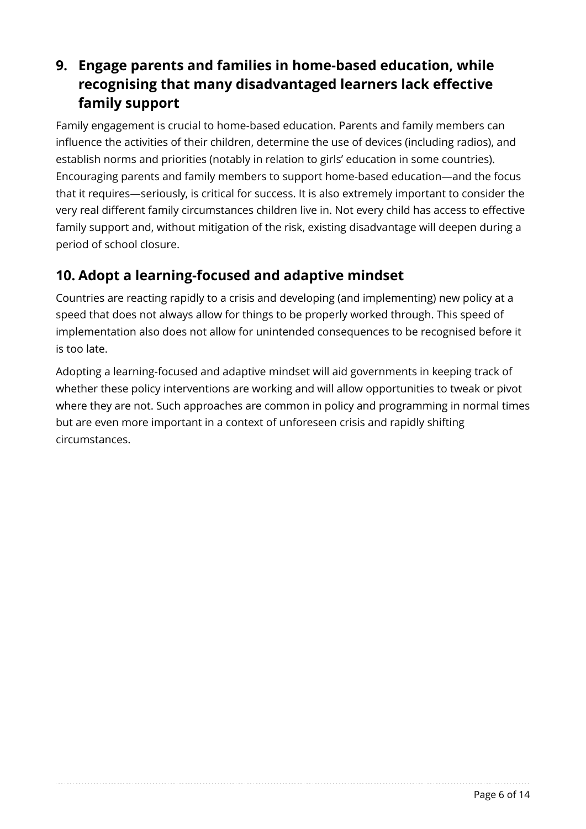## **9. Engage parents and families in home-based education, while recognising that many disadvantaged learners lack effective family support**

Family engagement is crucial to home-based education. Parents and family members can influence the activities of their children, determine the use of devices (including radios), and establish norms and priorities (notably in relation to girls' education in some countries). Encouraging parents and family members to support home-based education—and the focus that it requires—seriously, is critical for success. It is also extremely important to consider the very real different family circumstances children live in. Not every child has access to effective family support and, without mitigation of the risk, existing disadvantage will deepen during a period of school closure.

### **10. Adopt a learning-focused and adaptive mindset**

Countries are reacting rapidly to a crisis and developing (and implementing) new policy at a speed that does not always allow for things to be properly worked through. This speed of implementation also does not allow for unintended consequences to be recognised before it is too late.

Adopting a learning-focused and adaptive mindset will aid governments in keeping track of whether these policy interventions are working and will allow opportunities to tweak or pivot where they are not. Such approaches are common in policy and programming in normal times but are even more important in a context of unforeseen crisis and rapidly shifting circumstances.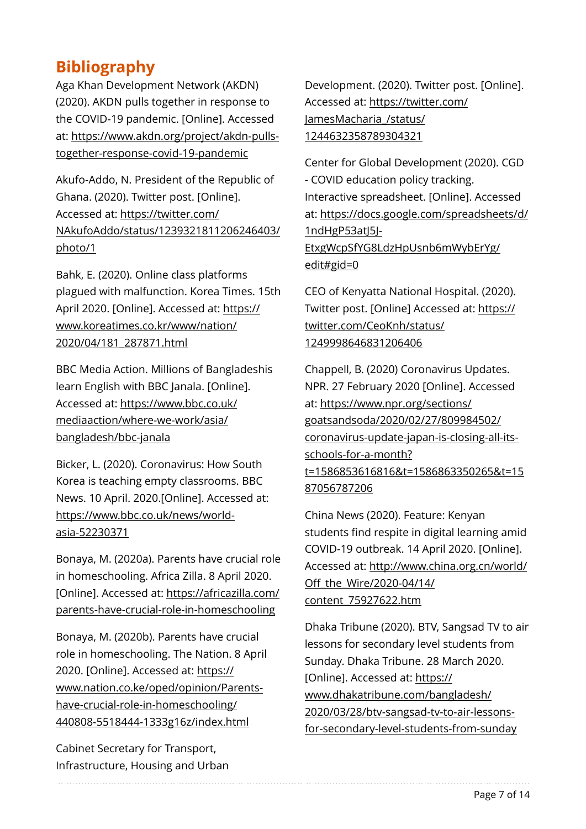# **Bibliography**

Aga Khan Development Network (AKDN) (2020). AKDN pulls together in response to the COVID-19 pandemic. [Online]. Accessed at: [https://www.akdn.org/project/akdn-pulls](https://www.akdn.org/project/akdn-pulls-together-response-covid-19-pandemic)[together-response-covid-19-pandemic](https://www.akdn.org/project/akdn-pulls-together-response-covid-19-pandemic) 

Akufo-Addo, N. President of the Republic of Ghana. (2020). Twitter post. [Online]. Accessed at: [https://twitter.com/](https://twitter.com/NAkufoAddo/status/1239321811206246403/photo/1) [NAkufoAddo/status/1239321811206246403/](https://twitter.com/NAkufoAddo/status/1239321811206246403/photo/1) [photo/1](https://twitter.com/NAkufoAddo/status/1239321811206246403/photo/1) 

Bahk, E. (2020). Online class platforms plagued with malfunction. Korea Times. 15th April 2020. [Online]. Accessed at: [https://](https://www.koreatimes.co.kr/www/nation/2020/04/181_287871.html) [www.koreatimes.co.kr/www/nation/](https://www.koreatimes.co.kr/www/nation/2020/04/181_287871.html) [2020/04/181\\_287871.html](https://www.koreatimes.co.kr/www/nation/2020/04/181_287871.html) 

BBC Media Action. Millions of Bangladeshis learn English with BBC Janala. [Online]. Accessed at: [https://www.bbc.co.uk/](https://www.bbc.co.uk/mediaaction/where-we-work/asia/bangladesh/bbc-janala) [mediaaction/where-we-work/asia/](https://www.bbc.co.uk/mediaaction/where-we-work/asia/bangladesh/bbc-janala) [bangladesh/bbc-janala](https://www.bbc.co.uk/mediaaction/where-we-work/asia/bangladesh/bbc-janala)

Bicker, L. (2020). Coronavirus: How South Korea is teaching empty classrooms. BBC News. 10 April. 2020.[Online]. Accessed at: [https://www.bbc.co.uk/news/world](https://www.bbc.co.uk/news/world-asia-52230371)[asia-52230371](https://www.bbc.co.uk/news/world-asia-52230371)

Bonaya, M. (2020a). Parents have crucial role in homeschooling. Africa Zilla. 8 April 2020. [Online]. Accessed at: [https://africazilla.com/](https://africazilla.com/parents-have-crucial-role-in-homeschooling) [parents-have-crucial-role-in-homeschooling](https://africazilla.com/parents-have-crucial-role-in-homeschooling) 

Bonaya, M. (2020b). Parents have crucial role in homeschooling. The Nation. 8 April 2020. [Online]. Accessed at: [https://](https://www.nation.co.ke/oped/opinion/Parents-have-crucial-role-in-homeschooling/440808-5518444-1333g16z/index.html) [www.nation.co.ke/oped/opinion/Parents](https://www.nation.co.ke/oped/opinion/Parents-have-crucial-role-in-homeschooling/440808-5518444-1333g16z/index.html)[have-crucial-role-in-homeschooling/](https://www.nation.co.ke/oped/opinion/Parents-have-crucial-role-in-homeschooling/440808-5518444-1333g16z/index.html) [440808-5518444-1333g16z/index.html](https://www.nation.co.ke/oped/opinion/Parents-have-crucial-role-in-homeschooling/440808-5518444-1333g16z/index.html)

Cabinet Secretary for Transport, Infrastructure, Housing and Urban

Development. (2020). Twitter post. [Online]. Accessed at: [https://twitter.com/](https://twitter.com/JamesMacharia_/status/1244632358789304321) [JamesMacharia\\_/status/](https://twitter.com/JamesMacharia_/status/1244632358789304321) [1244632358789304321](https://twitter.com/JamesMacharia_/status/1244632358789304321)

Center for Global Development (2020). CGD - COVID education policy tracking. Interactive spreadsheet. [Online]. Accessed at: [https://docs.google.com/spreadsheets/d/](https://docs.google.com/spreadsheets/d/1ndHgP53atJ5J-EtxgWcpSfYG8LdzHpUsnb6mWybErYg/edit#gid=0) [1ndHgP53atJ5J-](https://docs.google.com/spreadsheets/d/1ndHgP53atJ5J-EtxgWcpSfYG8LdzHpUsnb6mWybErYg/edit#gid=0)[EtxgWcpSfYG8LdzHpUsnb6mWybErYg/](https://docs.google.com/spreadsheets/d/1ndHgP53atJ5J-EtxgWcpSfYG8LdzHpUsnb6mWybErYg/edit#gid=0) [edit#gid=0](https://docs.google.com/spreadsheets/d/1ndHgP53atJ5J-EtxgWcpSfYG8LdzHpUsnb6mWybErYg/edit#gid=0)

CEO of Kenyatta National Hospital. (2020). Twitter post. [Online] Accessed at: [https://](https://twitter.com/CeoKnh/status/1249998646831206406) [twitter.com/CeoKnh/status/](https://twitter.com/CeoKnh/status/1249998646831206406) [1249998646831206406](https://twitter.com/CeoKnh/status/1249998646831206406)

Chappell, B. (2020) Coronavirus Updates. NPR. 27 February 2020 [Online]. Accessed at: [https://www.npr.org/sections/](https://www.npr.org/sections/goatsandsoda/2020/02/27/809984502/coronavirus-update-japan-is-closing-all-its-schools-for-a-month?t=1586853616816&t=1586863350265&t=1587056787206) [goatsandsoda/2020/02/27/809984502/](https://www.npr.org/sections/goatsandsoda/2020/02/27/809984502/coronavirus-update-japan-is-closing-all-its-schools-for-a-month?t=1586853616816&t=1586863350265&t=1587056787206) [coronavirus-update-japan-is-closing-all-its](https://www.npr.org/sections/goatsandsoda/2020/02/27/809984502/coronavirus-update-japan-is-closing-all-its-schools-for-a-month?t=1586853616816&t=1586863350265&t=1587056787206)[schools-for-a-month?](https://www.npr.org/sections/goatsandsoda/2020/02/27/809984502/coronavirus-update-japan-is-closing-all-its-schools-for-a-month?t=1586853616816&t=1586863350265&t=1587056787206) [t=1586853616816&t=1586863350265&t=15](https://www.npr.org/sections/goatsandsoda/2020/02/27/809984502/coronavirus-update-japan-is-closing-all-its-schools-for-a-month?t=1586853616816&t=1586863350265&t=1587056787206) [87056787206](https://www.npr.org/sections/goatsandsoda/2020/02/27/809984502/coronavirus-update-japan-is-closing-all-its-schools-for-a-month?t=1586853616816&t=1586863350265&t=1587056787206) 

China News (2020). Feature: Kenyan students find respite in digital learning amid COVID-19 outbreak. 14 April 2020. [Online]. Accessed at: [http://www.china.org.cn/world/](http://www.china.org.cn/world/Off_the_Wire/2020-04/14/content_75927622.htm) Off[\\_the\\_Wire/2020-04/14/](http://www.china.org.cn/world/Off_the_Wire/2020-04/14/content_75927622.htm) [content\\_75927622.htm](http://www.china.org.cn/world/Off_the_Wire/2020-04/14/content_75927622.htm)

Dhaka Tribune (2020). BTV, Sangsad TV to air lessons for secondary level students from Sunday. Dhaka Tribune. 28 March 2020. [Online]. Accessed at: [https://](https://www.dhakatribune.com/bangladesh/2020/03/28/btv-sangsad-tv-to-air-lessons-for-secondary-level-students-from-sunday) [www.dhakatribune.com/bangladesh/](https://www.dhakatribune.com/bangladesh/2020/03/28/btv-sangsad-tv-to-air-lessons-for-secondary-level-students-from-sunday) [2020/03/28/btv-sangsad-tv-to-air-lessons](https://www.dhakatribune.com/bangladesh/2020/03/28/btv-sangsad-tv-to-air-lessons-for-secondary-level-students-from-sunday)[for-secondary-level-students-from-sunday](https://www.dhakatribune.com/bangladesh/2020/03/28/btv-sangsad-tv-to-air-lessons-for-secondary-level-students-from-sunday)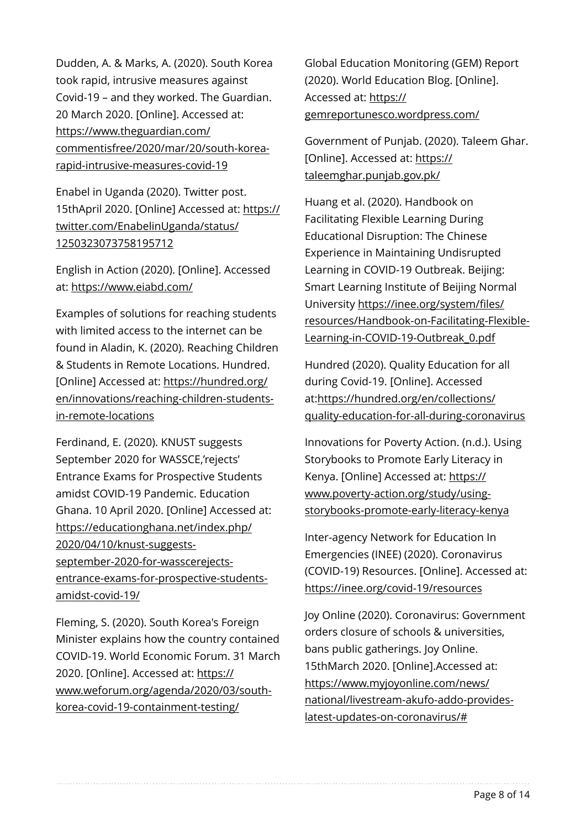Dudden, A. & Marks, A. (2020). South Korea took rapid, intrusive measures against Covid-19 – and they worked. The Guardian. 20 March 2020. [Online]. Accessed at: [https://www.theguardian.com/](https://www.theguardian.com/commentisfree/2020/mar/20/south-korea-rapid-intrusive-measures-covid-19) [commentisfree/2020/mar/20/south-korea](https://www.theguardian.com/commentisfree/2020/mar/20/south-korea-rapid-intrusive-measures-covid-19)[rapid-intrusive-measures-covid-19](https://www.theguardian.com/commentisfree/2020/mar/20/south-korea-rapid-intrusive-measures-covid-19)

Enabel in Uganda (2020). Twitter post. 15thApril 2020. [Online] Accessed at: [https://](https://twitter.com/EnabelinUganda/status/1250323073758195712) [twitter.com/EnabelinUganda/status/](https://twitter.com/EnabelinUganda/status/1250323073758195712) [1250323073758195712](https://twitter.com/EnabelinUganda/status/1250323073758195712)

English in Action (2020). [Online]. Accessed at:<https://www.eiabd.com/>

Examples of solutions for reaching students with limited access to the internet can be found in Aladin, K. (2020). Reaching Children & Students in Remote Locations. Hundred. [Online] Accessed at: [https://hundred.org/](https://hundred.org/en/innovations/reaching-children-students-in-remote-locations) [en/innovations/reaching-children-students](https://hundred.org/en/innovations/reaching-children-students-in-remote-locations)[in-remote-locations](https://hundred.org/en/innovations/reaching-children-students-in-remote-locations)

Ferdinand, E. (2020). KNUST suggests September 2020 for WASSCE,'rejects' Entrance Exams for Prospective Students amidst COVID-19 Pandemic. Education Ghana. 10 April 2020. [Online] Accessed at: [https://educationghana.net/index.php/](https://educationghana.net/index.php/2020/04/10/knust-suggests-september-2020-for-wasscerejects-entrance-exams-for-prospective-students-amidst-covid-19/) [2020/04/10/knust-suggests](https://educationghana.net/index.php/2020/04/10/knust-suggests-september-2020-for-wasscerejects-entrance-exams-for-prospective-students-amidst-covid-19/)[september-2020-for-wasscerejects](https://educationghana.net/index.php/2020/04/10/knust-suggests-september-2020-for-wasscerejects-entrance-exams-for-prospective-students-amidst-covid-19/)[entrance-exams-for-prospective-students](https://educationghana.net/index.php/2020/04/10/knust-suggests-september-2020-for-wasscerejects-entrance-exams-for-prospective-students-amidst-covid-19/)[amidst-covid-19/](https://educationghana.net/index.php/2020/04/10/knust-suggests-september-2020-for-wasscerejects-entrance-exams-for-prospective-students-amidst-covid-19/)

Fleming, S. (2020). South Korea's Foreign Minister explains how the country contained COVID-19. World Economic Forum. 31 March 2020. [Online]. Accessed at: [https://](https://www.weforum.org/agenda/2020/03/south-korea-covid-19-containment-testing/) [www.weforum.org/agenda/2020/03/south](https://www.weforum.org/agenda/2020/03/south-korea-covid-19-containment-testing/)[korea-covid-19-containment-testing/](https://www.weforum.org/agenda/2020/03/south-korea-covid-19-containment-testing/)

Global Education Monitoring (GEM) Report (2020). World Education Blog. [Online]. Accessed at: [https://](https://gemreportunesco.wordpress.com/) [gemreportunesco.wordpress.com/](https://gemreportunesco.wordpress.com/)

Government of Punjab. (2020). Taleem Ghar. [Online]. Accessed at: [https://](https://taleemghar.punjab.gov.pk/) [taleemghar.punjab.gov.pk/](https://taleemghar.punjab.gov.pk/)

Huang et al. (2020). Handbook on Facilitating Flexible Learning During Educational Disruption: The Chinese Experience in Maintaining Undisrupted Learning in COVID-19 Outbreak. Beijing: Smart Learning Institute of Beijing Normal University [https://inee.org/system/](https://inee.org/system/files/resources/Handbook-on-Facilitating-Flexible-Learning-in-COVID-19-Outbreak_0.pdf)files/ [resources/Handbook-on-Facilitating-Flexible-](https://inee.org/system/files/resources/Handbook-on-Facilitating-Flexible-Learning-in-COVID-19-Outbreak_0.pdf)[Learning-in-COVID-19-Outbreak\\_0.pdf](https://inee.org/system/files/resources/Handbook-on-Facilitating-Flexible-Learning-in-COVID-19-Outbreak_0.pdf)

Hundred (2020). Quality Education for all during Covid-19. [Online]. Accessed at:[https://hundred.org/en/collections/](https://hundred.org/en/collections/quality-education-for-all-during-coronavirus) [quality-education-for-all-during-coronavirus](https://hundred.org/en/collections/quality-education-for-all-during-coronavirus) 

Innovations for Poverty Action. (n.d.). Using Storybooks to Promote Early Literacy in Kenya. [Online] Accessed at: [https://](https://www.poverty-action.org/study/using-storybooks-promote-early-literacy-kenya) [www.poverty-action.org/study/using](https://www.poverty-action.org/study/using-storybooks-promote-early-literacy-kenya)[storybooks-promote-early-literacy-kenya](https://www.poverty-action.org/study/using-storybooks-promote-early-literacy-kenya)

Inter-agency Network for Education In Emergencies (INEE) (2020). Coronavirus (COVID-19) Resources. [Online]. Accessed at: <https://inee.org/covid-19/resources>

Joy Online (2020). Coronavirus: Government orders closure of schools & universities, bans public gatherings. Joy Online. 15thMarch 2020. [Online].Accessed at: [https://www.myjoyonline.com/news/](https://www.myjoyonline.com/news/national/livestream-akufo-addo-provides-latest-updates-on-coronavirus/#) [national/livestream-akufo-addo-provides](https://www.myjoyonline.com/news/national/livestream-akufo-addo-provides-latest-updates-on-coronavirus/#)[latest-updates-on-coronavirus/#](https://www.myjoyonline.com/news/national/livestream-akufo-addo-provides-latest-updates-on-coronavirus/#)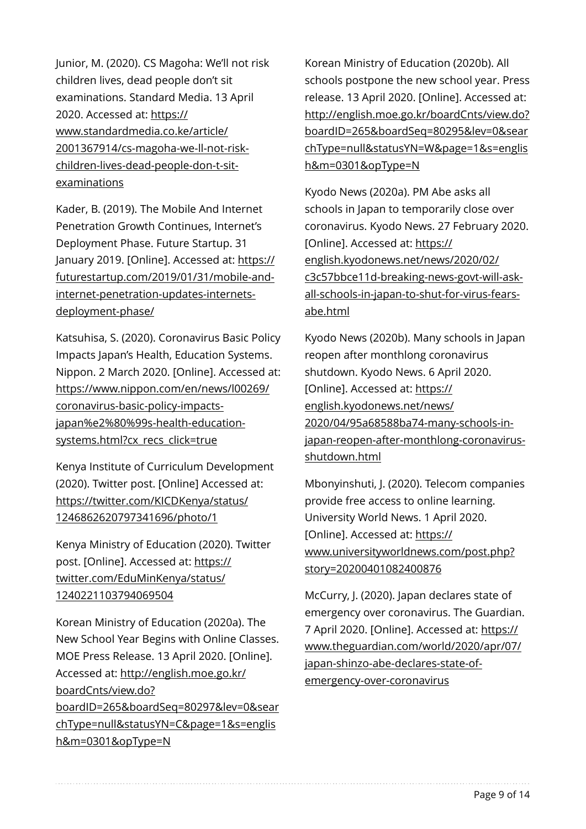Junior, M. (2020). CS Magoha: We'll not risk children lives, dead people don't sit examinations. Standard Media. 13 April 2020. Accessed at: [https://](https://www.standardmedia.co.ke/article/2001367914/cs-magoha-we-ll-not-risk-children-lives-dead-people-don-t-sit-examinations) [www.standardmedia.co.ke/article/](https://www.standardmedia.co.ke/article/2001367914/cs-magoha-we-ll-not-risk-children-lives-dead-people-don-t-sit-examinations) [2001367914/cs-magoha-we-ll-not-risk](https://www.standardmedia.co.ke/article/2001367914/cs-magoha-we-ll-not-risk-children-lives-dead-people-don-t-sit-examinations)[children-lives-dead-people-don-t-sit](https://www.standardmedia.co.ke/article/2001367914/cs-magoha-we-ll-not-risk-children-lives-dead-people-don-t-sit-examinations)[examinations](https://www.standardmedia.co.ke/article/2001367914/cs-magoha-we-ll-not-risk-children-lives-dead-people-don-t-sit-examinations) 

Kader, B. (2019). The Mobile And Internet Penetration Growth Continues, Internet's Deployment Phase. Future Startup. 31 January 2019. [Online]. Accessed at: [https://](https://futurestartup.com/2019/01/31/mobile-and-internet-penetration-updates-internets-deployment-phase/) [futurestartup.com/2019/01/31/mobile-and](https://futurestartup.com/2019/01/31/mobile-and-internet-penetration-updates-internets-deployment-phase/)[internet-penetration-updates-internets](https://futurestartup.com/2019/01/31/mobile-and-internet-penetration-updates-internets-deployment-phase/)[deployment-phase/](https://futurestartup.com/2019/01/31/mobile-and-internet-penetration-updates-internets-deployment-phase/)

Katsuhisa, S. (2020). Coronavirus Basic Policy Impacts Japan's Health, Education Systems. Nippon. 2 March 2020. [Online]. Accessed at: [https://www.nippon.com/en/news/l00269/](https://www.nippon.com/en/news/l00269/coronavirus-basic-policy-impacts-japan%e2%80%99s-health-education-systems.html?cx_recs_click=true) [coronavirus-basic-policy-impacts](https://www.nippon.com/en/news/l00269/coronavirus-basic-policy-impacts-japan%e2%80%99s-health-education-systems.html?cx_recs_click=true)[japan%e2%80%99s-health-education](https://www.nippon.com/en/news/l00269/coronavirus-basic-policy-impacts-japan%e2%80%99s-health-education-systems.html?cx_recs_click=true)[systems.html?cx\\_recs\\_click=true](https://www.nippon.com/en/news/l00269/coronavirus-basic-policy-impacts-japan%e2%80%99s-health-education-systems.html?cx_recs_click=true)

Kenya Institute of Curriculum Development (2020). Twitter post. [Online] Accessed at: [https://twitter.com/KICDKenya/status/](https://twitter.com/KICDKenya/status/1246862620797341696/photo/1) [1246862620797341696/photo/1](https://twitter.com/KICDKenya/status/1246862620797341696/photo/1)

Kenya Ministry of Education (2020). Twitter post. [Online]. Accessed at: [https://](https://twitter.com/EduMinKenya/status/1240221103794069504) [twitter.com/EduMinKenya/status/](https://twitter.com/EduMinKenya/status/1240221103794069504) [1240221103794069504](https://twitter.com/EduMinKenya/status/1240221103794069504)

Korean Ministry of Education (2020a). The New School Year Begins with Online Classes. MOE Press Release. 13 April 2020. [Online]. Accessed at: [http://english.moe.go.kr/](http://english.moe.go.kr/boardCnts/view.do?boardID=265&boardSeq=80297&lev=0&searchType=null&statusYN=C&page=1&s=english&m=0301&opType=N) [boardCnts/view.do?](http://english.moe.go.kr/boardCnts/view.do?boardID=265&boardSeq=80297&lev=0&searchType=null&statusYN=C&page=1&s=english&m=0301&opType=N) [boardID=265&boardSeq=80297&lev=0&sear](http://english.moe.go.kr/boardCnts/view.do?boardID=265&boardSeq=80297&lev=0&searchType=null&statusYN=C&page=1&s=english&m=0301&opType=N) [chType=null&statusYN=C&page=1&s=englis](http://english.moe.go.kr/boardCnts/view.do?boardID=265&boardSeq=80297&lev=0&searchType=null&statusYN=C&page=1&s=english&m=0301&opType=N) [h&m=0301&opType=N](http://english.moe.go.kr/boardCnts/view.do?boardID=265&boardSeq=80297&lev=0&searchType=null&statusYN=C&page=1&s=english&m=0301&opType=N)

Korean Ministry of Education (2020b). All schools postpone the new school year. Press release. 13 April 2020. [Online]. Accessed at: [http://english.moe.go.kr/boardCnts/view.do?](http://english.moe.go.kr/boardCnts/view.do?boardID=265&boardSeq=80295&lev=0&searchType=null&statusYN=W&page=1&s=english&m=0301&opType=N) [boardID=265&boardSeq=80295&lev=0&sear](http://english.moe.go.kr/boardCnts/view.do?boardID=265&boardSeq=80295&lev=0&searchType=null&statusYN=W&page=1&s=english&m=0301&opType=N) [chType=null&statusYN=W&page=1&s=englis](http://english.moe.go.kr/boardCnts/view.do?boardID=265&boardSeq=80295&lev=0&searchType=null&statusYN=W&page=1&s=english&m=0301&opType=N) [h&m=0301&opType=N](http://english.moe.go.kr/boardCnts/view.do?boardID=265&boardSeq=80295&lev=0&searchType=null&statusYN=W&page=1&s=english&m=0301&opType=N)

Kyodo News (2020a). PM Abe asks all schools in Japan to temporarily close over coronavirus. Kyodo News. 27 February 2020. [Online]. Accessed at: [https://](https://english.kyodonews.net/news/2020/02/c3c57bbce11d-breaking-news-govt-will-ask-all-schools-in-japan-to-shut-for-virus-fears-abe.html) [english.kyodonews.net/news/2020/02/](https://english.kyodonews.net/news/2020/02/c3c57bbce11d-breaking-news-govt-will-ask-all-schools-in-japan-to-shut-for-virus-fears-abe.html) [c3c57bbce11d-breaking-news-govt-will-ask](https://english.kyodonews.net/news/2020/02/c3c57bbce11d-breaking-news-govt-will-ask-all-schools-in-japan-to-shut-for-virus-fears-abe.html)[all-schools-in-japan-to-shut-for-virus-fears](https://english.kyodonews.net/news/2020/02/c3c57bbce11d-breaking-news-govt-will-ask-all-schools-in-japan-to-shut-for-virus-fears-abe.html)[abe.html](https://english.kyodonews.net/news/2020/02/c3c57bbce11d-breaking-news-govt-will-ask-all-schools-in-japan-to-shut-for-virus-fears-abe.html)

Kyodo News (2020b). Many schools in Japan reopen after monthlong coronavirus shutdown. Kyodo News. 6 April 2020. [Online]. Accessed at: [https://](https://english.kyodonews.net/news/2020/04/95a68588ba74-many-schools-in-japan-reopen-after-monthlong-coronavirus-shutdown.html) [english.kyodonews.net/news/](https://english.kyodonews.net/news/2020/04/95a68588ba74-many-schools-in-japan-reopen-after-monthlong-coronavirus-shutdown.html) [2020/04/95a68588ba74-many-schools-in](https://english.kyodonews.net/news/2020/04/95a68588ba74-many-schools-in-japan-reopen-after-monthlong-coronavirus-shutdown.html)[japan-reopen-after-monthlong-coronavirus](https://english.kyodonews.net/news/2020/04/95a68588ba74-many-schools-in-japan-reopen-after-monthlong-coronavirus-shutdown.html)[shutdown.html](https://english.kyodonews.net/news/2020/04/95a68588ba74-many-schools-in-japan-reopen-after-monthlong-coronavirus-shutdown.html)

Mbonyinshuti, J. (2020). Telecom companies provide free access to online learning. University World News. 1 April 2020. [Online]. Accessed at: [https://](https://www.universityworldnews.com/post.php?story=20200401082400876) [www.universityworldnews.com/post.php?](https://www.universityworldnews.com/post.php?story=20200401082400876) [story=20200401082400876](https://www.universityworldnews.com/post.php?story=20200401082400876)

McCurry, J. (2020). Japan declares state of emergency over coronavirus. The Guardian. 7 April 2020. [Online]. Accessed at: [https://](https://www.theguardian.com/world/2020/apr/07/japan-shinzo-abe-declares-state-of-emergency-over-coronavirus) [www.theguardian.com/world/2020/apr/07/](https://www.theguardian.com/world/2020/apr/07/japan-shinzo-abe-declares-state-of-emergency-over-coronavirus) [japan-shinzo-abe-declares-state-of](https://www.theguardian.com/world/2020/apr/07/japan-shinzo-abe-declares-state-of-emergency-over-coronavirus)[emergency-over-coronavirus](https://www.theguardian.com/world/2020/apr/07/japan-shinzo-abe-declares-state-of-emergency-over-coronavirus)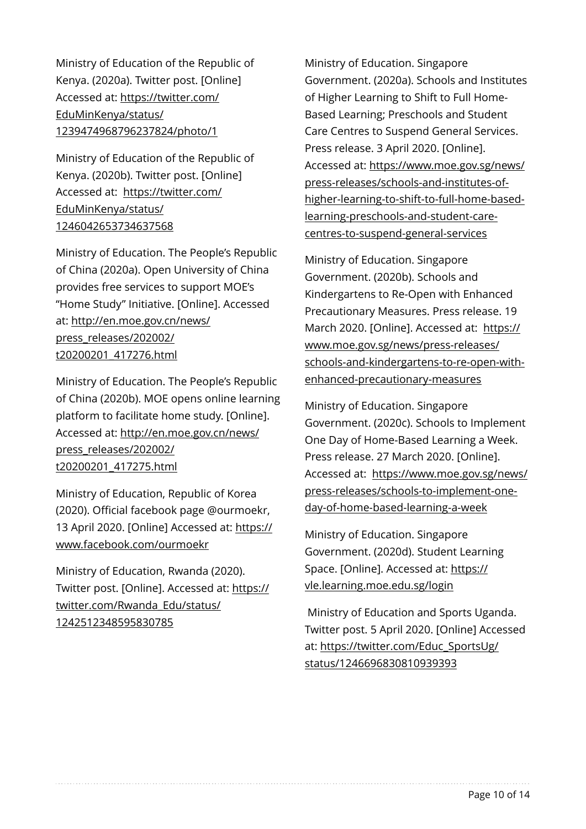Ministry of Education of the Republic of Kenya. (2020a). Twitter post. [Online] Accessed at: [https://twitter.com/](https://twitter.com/EduMinKenya/status/1239474968796237824/photo/1) [EduMinKenya/status/](https://twitter.com/EduMinKenya/status/1239474968796237824/photo/1) [1239474968796237824/photo/1](https://twitter.com/EduMinKenya/status/1239474968796237824/photo/1)

Ministry of Education of the Republic of Kenya. (2020b). Twitter post. [Online] Accessed at: [https://twitter.com/](https://twitter.com/EduMinKenya/status/1246042653734637568) [EduMinKenya/status/](https://twitter.com/EduMinKenya/status/1246042653734637568) [1246042653734637568](https://twitter.com/EduMinKenya/status/1246042653734637568)

Ministry of Education. The People's Republic of China (2020a). Open University of China provides free services to support MOE's "Home Study" Initiative. [Online]. Accessed at: [http://en.moe.gov.cn/news/](http://en.moe.gov.cn/news/press_releases/202002/t20200201_417276.html) [press\\_releases/202002/](http://en.moe.gov.cn/news/press_releases/202002/t20200201_417276.html) [t20200201\\_417276.html](http://en.moe.gov.cn/news/press_releases/202002/t20200201_417276.html)

Ministry of Education. The People's Republic of China (2020b). MOE opens online learning platform to facilitate home study. [Online]. Accessed at: [http://en.moe.gov.cn/news/](http://en.moe.gov.cn/news/press_releases/202002/t20200201_417275.html) [press\\_releases/202002/](http://en.moe.gov.cn/news/press_releases/202002/t20200201_417275.html) [t20200201\\_417275.html](http://en.moe.gov.cn/news/press_releases/202002/t20200201_417275.html)

Ministry of Education, Republic of Korea (2020). Official facebook page @ourmoekr, 13 April 2020. [Online] Accessed at: [https://](https://www.facebook.com/ourmoekr) [www.facebook.com/ourmoekr](https://www.facebook.com/ourmoekr)

Ministry of Education, Rwanda (2020). Twitter post. [Online]. Accessed at: [https://](https://twitter.com/Rwanda_Edu/status/1242512348595830785) [twitter.com/Rwanda\\_Edu/status/](https://twitter.com/Rwanda_Edu/status/1242512348595830785) [1242512348595830785](https://twitter.com/Rwanda_Edu/status/1242512348595830785)

Ministry of Education. Singapore Government. (2020a). Schools and Institutes of Higher Learning to Shift to Full Home-Based Learning; Preschools and Student Care Centres to Suspend General Services. Press release. 3 April 2020. [Online]. Accessed at: [https://www.moe.gov.sg/news/](https://www.moe.gov.sg/news/press-releases/schools-and-institutes-of-higher-learning-to-shift-to-full-home-based-learning-preschools-and-student-care-centres-to-suspend-general-services) [press-releases/schools-and-institutes-of](https://www.moe.gov.sg/news/press-releases/schools-and-institutes-of-higher-learning-to-shift-to-full-home-based-learning-preschools-and-student-care-centres-to-suspend-general-services)[higher-learning-to-shift-to-full-home-based](https://www.moe.gov.sg/news/press-releases/schools-and-institutes-of-higher-learning-to-shift-to-full-home-based-learning-preschools-and-student-care-centres-to-suspend-general-services)[learning-preschools-and-student-care](https://www.moe.gov.sg/news/press-releases/schools-and-institutes-of-higher-learning-to-shift-to-full-home-based-learning-preschools-and-student-care-centres-to-suspend-general-services)[centres-to-suspend-general-services](https://www.moe.gov.sg/news/press-releases/schools-and-institutes-of-higher-learning-to-shift-to-full-home-based-learning-preschools-and-student-care-centres-to-suspend-general-services)

Ministry of Education. Singapore Government. (2020b). Schools and Kindergartens to Re-Open with Enhanced Precautionary Measures. Press release. 19 March 2020. [Online]. Accessed at: [https://](https://www.moe.gov.sg/news/press-releases/schools-and-kindergartens-to-re-open-with-enhanced-precautionary-measures) [www.moe.gov.sg/news/press-releases/](https://www.moe.gov.sg/news/press-releases/schools-and-kindergartens-to-re-open-with-enhanced-precautionary-measures) [schools-and-kindergartens-to-re-open-with](https://www.moe.gov.sg/news/press-releases/schools-and-kindergartens-to-re-open-with-enhanced-precautionary-measures)[enhanced-precautionary-measures](https://www.moe.gov.sg/news/press-releases/schools-and-kindergartens-to-re-open-with-enhanced-precautionary-measures)

Ministry of Education. Singapore Government. (2020c). Schools to Implement One Day of Home-Based Learning a Week. Press release. 27 March 2020. [Online]. Accessed at: [https://www.moe.gov.sg/news/](https://www.moe.gov.sg/news/press-releases/schools-to-implement-one-day-of-home-based-learning-a-week) [press-releases/schools-to-implement-one](https://www.moe.gov.sg/news/press-releases/schools-to-implement-one-day-of-home-based-learning-a-week)[day-of-home-based-learning-a-week](https://www.moe.gov.sg/news/press-releases/schools-to-implement-one-day-of-home-based-learning-a-week)

Ministry of Education. Singapore Government. (2020d). Student Learning Space. [Online]. Accessed at: [https://](https://vle.learning.moe.edu.sg/login) [vle.learning.moe.edu.sg/login](https://vle.learning.moe.edu.sg/login)

 Ministry of Education and Sports Uganda. Twitter post. 5 April 2020. [Online] Accessed at: [https://twitter.com/Educ\\_SportsUg/](https://twitter.com/Educ_SportsUg/status/1246696830810939393) [status/1246696830810939393](https://twitter.com/Educ_SportsUg/status/1246696830810939393)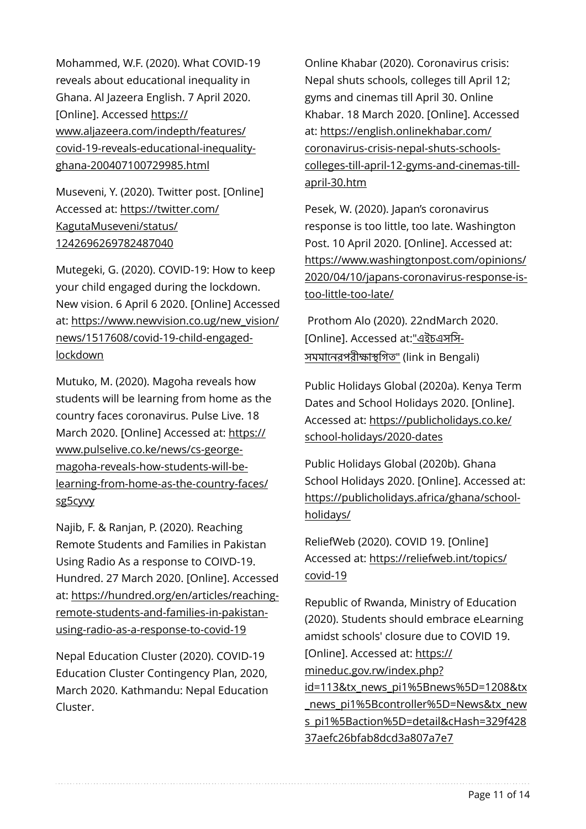Mohammed, W.F. (2020). What COVID-19 reveals about educational inequality in Ghana. Al Jazeera English. 7 April 2020. [Online]. Accessed [https://](https://www.aljazeera.com/indepth/features/covid-19-reveals-educational-inequality-ghana-200407100729985.html) [www.aljazeera.com/indepth/features/](https://www.aljazeera.com/indepth/features/covid-19-reveals-educational-inequality-ghana-200407100729985.html) [covid-19-reveals-educational-inequality](https://www.aljazeera.com/indepth/features/covid-19-reveals-educational-inequality-ghana-200407100729985.html)[ghana-200407100729985.html](https://www.aljazeera.com/indepth/features/covid-19-reveals-educational-inequality-ghana-200407100729985.html) 

Museveni, Y. (2020). Twitter post. [Online] Accessed at: [https://twitter.com/](https://twitter.com/KagutaMuseveni/status/1242696269782487040) [KagutaMuseveni/status/](https://twitter.com/KagutaMuseveni/status/1242696269782487040) [1242696269782487040](https://twitter.com/KagutaMuseveni/status/1242696269782487040)

Mutegeki, G. (2020). COVID-19: How to keep your child engaged during the lockdown. New vision. 6 April 6 2020. [Online] Accessed at: [https://www.newvision.co.ug/new\\_vision/](https://www.newvision.co.ug/new_vision/news/1517608/covid-19-child-engaged-lockdown) [news/1517608/covid-19-child-engaged](https://www.newvision.co.ug/new_vision/news/1517608/covid-19-child-engaged-lockdown)[lockdown](https://www.newvision.co.ug/new_vision/news/1517608/covid-19-child-engaged-lockdown)

Mutuko, M. (2020). Magoha reveals how students will be learning from home as the country faces coronavirus. Pulse Live. 18 March 2020. [Online] Accessed at: [https://](https://www.pulselive.co.ke/news/cs-george-magoha-reveals-how-students-will-be-learning-from-home-as-the-country-faces/sg5cyvy) [www.pulselive.co.ke/news/cs-george](https://www.pulselive.co.ke/news/cs-george-magoha-reveals-how-students-will-be-learning-from-home-as-the-country-faces/sg5cyvy)[magoha-reveals-how-students-will-be](https://www.pulselive.co.ke/news/cs-george-magoha-reveals-how-students-will-be-learning-from-home-as-the-country-faces/sg5cyvy)[learning-from-home-as-the-country-faces/](https://www.pulselive.co.ke/news/cs-george-magoha-reveals-how-students-will-be-learning-from-home-as-the-country-faces/sg5cyvy) [sg5cyvy](https://www.pulselive.co.ke/news/cs-george-magoha-reveals-how-students-will-be-learning-from-home-as-the-country-faces/sg5cyvy)

Najib, F. & Ranjan, P. (2020). Reaching Remote Students and Families in Pakistan Using Radio As a response to COIVD-19. Hundred. 27 March 2020. [Online]. Accessed at: [https://hundred.org/en/articles/reaching](https://hundred.org/en/articles/reaching-remote-students-and-families-in-pakistan-using-radio-as-a-response-to-covid-19)[remote-students-and-families-in-pakistan](https://hundred.org/en/articles/reaching-remote-students-and-families-in-pakistan-using-radio-as-a-response-to-covid-19)[using-radio-as-a-response-to-covid-19](https://hundred.org/en/articles/reaching-remote-students-and-families-in-pakistan-using-radio-as-a-response-to-covid-19)

Nepal Education Cluster (2020). COVID-19 Education Cluster Contingency Plan, 2020, March 2020. Kathmandu: Nepal Education Cluster.

Online Khabar (2020). Coronavirus crisis: Nepal shuts schools, colleges till April 12; gyms and cinemas till April 30. Online Khabar. 18 March 2020. [Online]. Accessed at: [https://english.onlinekhabar.com/](https://english.onlinekhabar.com/coronavirus-crisis-nepal-shuts-schools-colleges-till-april-12-gyms-and-cinemas-till-april-30.htm) [coronavirus-crisis-nepal-shuts-schools](https://english.onlinekhabar.com/coronavirus-crisis-nepal-shuts-schools-colleges-till-april-12-gyms-and-cinemas-till-april-30.htm)[colleges-till-april-12-gyms-and-cinemas-till](https://english.onlinekhabar.com/coronavirus-crisis-nepal-shuts-schools-colleges-till-april-12-gyms-and-cinemas-till-april-30.htm)[april-30.htm](https://english.onlinekhabar.com/coronavirus-crisis-nepal-shuts-schools-colleges-till-april-12-gyms-and-cinemas-till-april-30.htm)

Pesek, W. (2020). Japan's coronavirus response is too little, too late. Washington Post. 10 April 2020. [Online]. Accessed at: [https://www.washingtonpost.com/opinions/](https://www.washingtonpost.com/opinions/2020/04/10/japans-coronavirus-response-is-too-little-too-late/) [2020/04/10/japans-coronavirus-response-is](https://www.washingtonpost.com/opinions/2020/04/10/japans-coronavirus-response-is-too-little-too-late/)[too-little-too-late/](https://www.washingtonpost.com/opinions/2020/04/10/japans-coronavirus-response-is-too-little-too-late/) 

 Prothom Alo (2020). 22ndMarch 2020. [Online]. Accessed at:"[এইচএসিস](https://www.prothomalo.com/bangladesh/article/1646310/%25E0%25A6%258F%25E0%25A6%2587%25E0%25A6%259A%25E0%25A6%258F%25E0%25A6%25B8%25E0%25A6%25B8%25E0%25A6%25BF-%25E0%25A6%25B8%25E0%25A6%25AE%25E0%25A6%25AE%25E0%25A6%25BE%25E0%25A6%25A8%25E0%25A7%2587%25E0%25A6%25B0-%25E0%25A6%25AA%25E0%25A6%25B0%25E0%25A7%2580%25E0%25A6%2595%25E0%25A7%258D%25E0%25A6%25B7%25E0%25A6%25BE-%25E0%25A6%25B8%25E0%25A7%258D%25E0%25A6%25A5%25E0%25A6%2597%25E0%25A6%25BF%25E0%25A6%25A4)-সমমানেরপরীক্ষাস্থগিত" (link in Bengali)

Public Holidays Global (2020a). Kenya Term Dates and School Holidays 2020. [Online]. Accessed at: [https://publicholidays.co.ke/](https://publicholidays.co.ke/school-holidays/2020-dates) [school-holidays/2020-dates](https://publicholidays.co.ke/school-holidays/2020-dates)

Public Holidays Global (2020b). Ghana School Holidays 2020. [Online]. Accessed at: [https://publicholidays.africa/ghana/school](https://publicholidays.africa/ghana/school-holidays/)[holidays/](https://publicholidays.africa/ghana/school-holidays/)

ReliefWeb (2020). COVID 19. [Online] Accessed at: [https://reliefweb.int/topics/](https://reliefweb.int/topics/covid-19) [covid-19](https://reliefweb.int/topics/covid-19)

Republic of Rwanda, Ministry of Education (2020). Students should embrace eLearning amidst schools' closure due to COVID 19. [Online]. Accessed at: [https://](https://mineduc.gov.rw/index.php?id=113&tx_news_pi1%5Bnews%5D=1208&tx_news_pi1%5Bcontroller%5D=News&tx_news_pi1%5Baction%5D=detail&cHash=329f42837aefc26bfab8dcd3a807a7e7) [mineduc.gov.rw/index.php?](https://mineduc.gov.rw/index.php?id=113&tx_news_pi1%5Bnews%5D=1208&tx_news_pi1%5Bcontroller%5D=News&tx_news_pi1%5Baction%5D=detail&cHash=329f42837aefc26bfab8dcd3a807a7e7) [id=113&tx\\_news\\_pi1%5Bnews%5D=1208&tx](https://mineduc.gov.rw/index.php?id=113&tx_news_pi1%5Bnews%5D=1208&tx_news_pi1%5Bcontroller%5D=News&tx_news_pi1%5Baction%5D=detail&cHash=329f42837aefc26bfab8dcd3a807a7e7) news\_pi1%5Bcontroller%5D=News&tx\_new [s\\_pi1%5Baction%5D=detail&cHash=329f428](https://mineduc.gov.rw/index.php?id=113&tx_news_pi1%5Bnews%5D=1208&tx_news_pi1%5Bcontroller%5D=News&tx_news_pi1%5Baction%5D=detail&cHash=329f42837aefc26bfab8dcd3a807a7e7) [37aefc26bfab8dcd3a807a7e7](https://mineduc.gov.rw/index.php?id=113&tx_news_pi1%5Bnews%5D=1208&tx_news_pi1%5Bcontroller%5D=News&tx_news_pi1%5Baction%5D=detail&cHash=329f42837aefc26bfab8dcd3a807a7e7)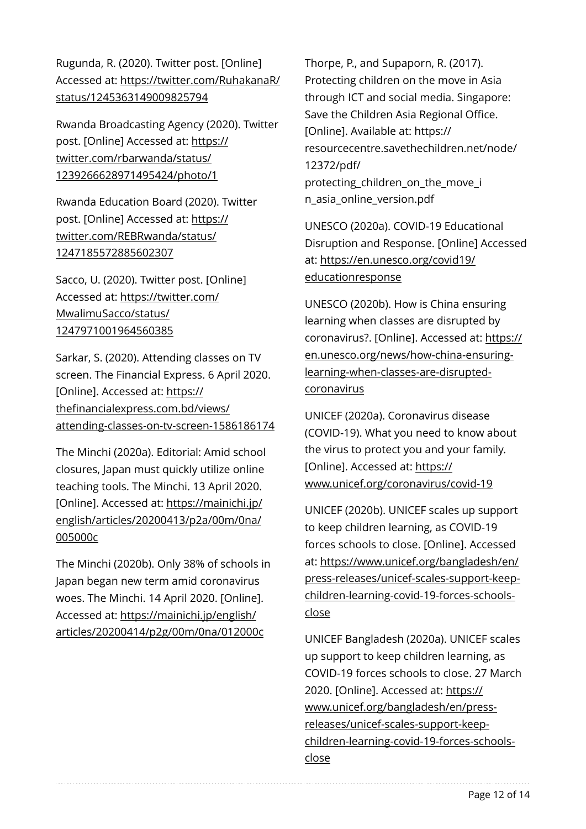Rugunda, R. (2020). Twitter post. [Online] Accessed at: [https://twitter.com/RuhakanaR/](https://twitter.com/RuhakanaR/status/1245363149009825794) [status/1245363149009825794](https://twitter.com/RuhakanaR/status/1245363149009825794)

Rwanda Broadcasting Agency (2020). Twitter post. [Online] Accessed at: [https://](https://twitter.com/rbarwanda/status/1239266628971495424/photo/1) [twitter.com/rbarwanda/status/](https://twitter.com/rbarwanda/status/1239266628971495424/photo/1) [1239266628971495424/photo/1](https://twitter.com/rbarwanda/status/1239266628971495424/photo/1)

Rwanda Education Board (2020). Twitter post. [Online] Accessed at: [https://](https://twitter.com/REBRwanda/status/1247185572885602307) [twitter.com/REBRwanda/status/](https://twitter.com/REBRwanda/status/1247185572885602307) [1247185572885602307](https://twitter.com/REBRwanda/status/1247185572885602307)

Sacco, U. (2020). Twitter post. [Online] Accessed at: [https://twitter.com/](https://twitter.com/MwalimuSacco/status/1247971001964560385) [MwalimuSacco/status/](https://twitter.com/MwalimuSacco/status/1247971001964560385) [1247971001964560385](https://twitter.com/MwalimuSacco/status/1247971001964560385)

Sarkar, S. (2020). Attending classes on TV screen. The Financial Express. 6 April 2020. [Online]. Accessed at: [https://](https://thefinancialexpress.com.bd/views/attending-classes-on-tv-screen-1586186174) thefi[nancialexpress.com.bd/views/](https://thefinancialexpress.com.bd/views/attending-classes-on-tv-screen-1586186174) [attending-classes-on-tv-screen-1586186174](https://thefinancialexpress.com.bd/views/attending-classes-on-tv-screen-1586186174)

The Minchi (2020a). Editorial: Amid school closures, Japan must quickly utilize online teaching tools. The Minchi. 13 April 2020. [Online]. Accessed at: [https://mainichi.jp/](https://mainichi.jp/english/articles/20200413/p2a/00m/0na/005000c) [english/articles/20200413/p2a/00m/0na/](https://mainichi.jp/english/articles/20200413/p2a/00m/0na/005000c) [005000c](https://mainichi.jp/english/articles/20200413/p2a/00m/0na/005000c)

The Minchi (2020b). Only 38% of schools in Japan began new term amid coronavirus woes. The Minchi. 14 April 2020. [Online]. Accessed at: [https://mainichi.jp/english/](https://mainichi.jp/english/articles/20200414/p2g/00m/0na/012000c) [articles/20200414/p2g/00m/0na/012000c](https://mainichi.jp/english/articles/20200414/p2g/00m/0na/012000c)

Thorpe, P., and Supaporn, R. (2017). Protecting children on the move in Asia through ICT and social media. Singapore: Save the Children Asia Regional Office. [Online]. Available at: https:// resourcecentre.savethechildren.net/node/ 12372/pdf/ protecting children on the move i n\_asia\_online\_version.pdf

UNESCO (2020a). COVID-19 Educational Disruption and Response. [Online] Accessed at: [https://en.unesco.org/covid19/](https://en.unesco.org/covid19/educationresponse) [educationresponse](https://en.unesco.org/covid19/educationresponse)

UNESCO (2020b). How is China ensuring learning when classes are disrupted by coronavirus?. [Online]. Accessed at: [https://](https://en.unesco.org/news/how-china-ensuring-learning-when-classes-are-disrupted-coronavirus) [en.unesco.org/news/how-china-ensuring](https://en.unesco.org/news/how-china-ensuring-learning-when-classes-are-disrupted-coronavirus)[learning-when-classes-are-disrupted](https://en.unesco.org/news/how-china-ensuring-learning-when-classes-are-disrupted-coronavirus)[coronavirus](https://en.unesco.org/news/how-china-ensuring-learning-when-classes-are-disrupted-coronavirus)

UNICEF (2020a). Coronavirus disease (COVID-19). What you need to know about the virus to protect you and your family. [Online]. Accessed at: [https://](https://www.unicef.org/coronavirus/covid-19) [www.unicef.org/coronavirus/covid-19](https://www.unicef.org/coronavirus/covid-19)

UNICEF (2020b). UNICEF scales up support to keep children learning, as COVID-19 forces schools to close. [Online]. Accessed at: [https://www.unicef.org/bangladesh/en/](https://www.unicef.org/bangladesh/en/press-releases/unicef-scales-support-keep-children-learning-covid-19-forces-schools-close) [press-releases/unicef-scales-support-keep](https://www.unicef.org/bangladesh/en/press-releases/unicef-scales-support-keep-children-learning-covid-19-forces-schools-close)[children-learning-covid-19-forces-schools](https://www.unicef.org/bangladesh/en/press-releases/unicef-scales-support-keep-children-learning-covid-19-forces-schools-close)[close](https://www.unicef.org/bangladesh/en/press-releases/unicef-scales-support-keep-children-learning-covid-19-forces-schools-close)

UNICEF Bangladesh (2020a). UNICEF scales up support to keep children learning, as COVID-19 forces schools to close. 27 March 2020. [Online]. Accessed at: [https://](https://www.unicef.org/bangladesh/en/press-releases/unicef-scales-support-keep-children-learning-covid-19-forces-schools-close) [www.unicef.org/bangladesh/en/press](https://www.unicef.org/bangladesh/en/press-releases/unicef-scales-support-keep-children-learning-covid-19-forces-schools-close)[releases/unicef-scales-support-keep](https://www.unicef.org/bangladesh/en/press-releases/unicef-scales-support-keep-children-learning-covid-19-forces-schools-close)[children-learning-covid-19-forces-schools](https://www.unicef.org/bangladesh/en/press-releases/unicef-scales-support-keep-children-learning-covid-19-forces-schools-close)[close](https://www.unicef.org/bangladesh/en/press-releases/unicef-scales-support-keep-children-learning-covid-19-forces-schools-close)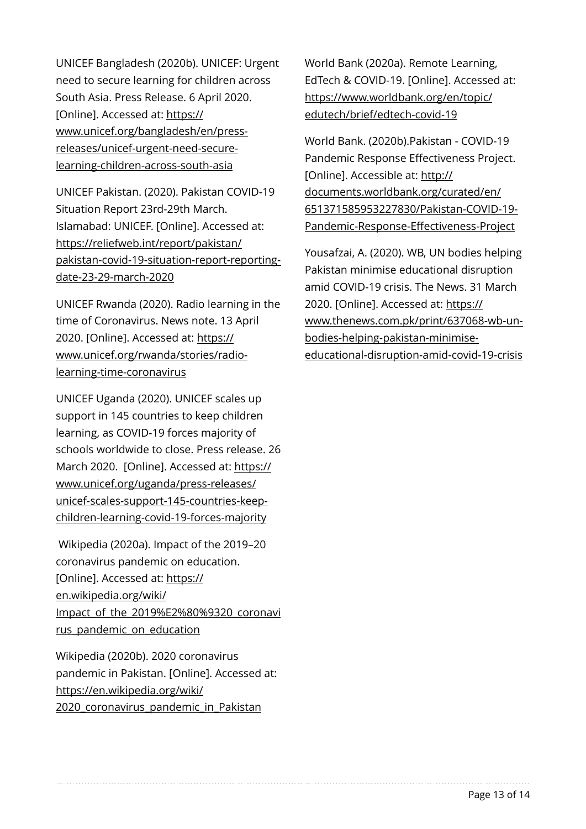UNICEF Bangladesh (2020b). UNICEF: Urgent need to secure learning for children across South Asia. Press Release. 6 April 2020. [Online]. Accessed at: [https://](https://www.unicef.org/bangladesh/en/press-releases/unicef-urgent-need-secure-learning-children-across-south-asia) [www.unicef.org/bangladesh/en/press](https://www.unicef.org/bangladesh/en/press-releases/unicef-urgent-need-secure-learning-children-across-south-asia)[releases/unicef-urgent-need-secure](https://www.unicef.org/bangladesh/en/press-releases/unicef-urgent-need-secure-learning-children-across-south-asia)[learning-children-across-south-asia](https://www.unicef.org/bangladesh/en/press-releases/unicef-urgent-need-secure-learning-children-across-south-asia)

UNICEF Pakistan. (2020). Pakistan COVID-19 Situation Report 23rd-29th March. Islamabad: UNICEF. [Online]. Accessed at: [https://reliefweb.int/report/pakistan/](https://reliefweb.int/report/pakistan/pakistan-covid-19-situation-report-reporting-date-23-29-march-2020) [pakistan-covid-19-situation-report-reporting](https://reliefweb.int/report/pakistan/pakistan-covid-19-situation-report-reporting-date-23-29-march-2020)[date-23-29-march-2020](https://reliefweb.int/report/pakistan/pakistan-covid-19-situation-report-reporting-date-23-29-march-2020) 

UNICEF Rwanda (2020). Radio learning in the time of Coronavirus. News note. 13 April 2020. [Online]. Accessed at: [https://](https://www.unicef.org/rwanda/stories/radio-learning-time-coronavirus) [www.unicef.org/rwanda/stories/radio](https://www.unicef.org/rwanda/stories/radio-learning-time-coronavirus)[learning-time-coronavirus](https://www.unicef.org/rwanda/stories/radio-learning-time-coronavirus)

UNICEF Uganda (2020). UNICEF scales up support in 145 countries to keep children learning, as COVID-19 forces majority of schools worldwide to close. Press release. 26 March 2020. [Online]. Accessed at: [https://](https://www.unicef.org/uganda/press-releases/unicef-scales-support-145-countries-keep-children-learning-covid-19-forces-majority) [www.unicef.org/uganda/press-releases/](https://www.unicef.org/uganda/press-releases/unicef-scales-support-145-countries-keep-children-learning-covid-19-forces-majority) [unicef-scales-support-145-countries-keep](https://www.unicef.org/uganda/press-releases/unicef-scales-support-145-countries-keep-children-learning-covid-19-forces-majority)[children-learning-covid-19-forces-majority](https://www.unicef.org/uganda/press-releases/unicef-scales-support-145-countries-keep-children-learning-covid-19-forces-majority)

 Wikipedia (2020a). Impact of the 2019–20 coronavirus pandemic on education. [Online]. Accessed at: [https://](https://en.wikipedia.org/wiki/Impact_of_the_2019%E2%80%9320_coronavirus_pandemic_on_education) [en.wikipedia.org/wiki/](https://en.wikipedia.org/wiki/Impact_of_the_2019%E2%80%9320_coronavirus_pandemic_on_education) [Impact\\_of\\_the\\_2019%E2%80%9320\\_coronavi](https://en.wikipedia.org/wiki/Impact_of_the_2019%E2%80%9320_coronavirus_pandemic_on_education) [rus\\_pandemic\\_on\\_education](https://en.wikipedia.org/wiki/Impact_of_the_2019%E2%80%9320_coronavirus_pandemic_on_education)

Wikipedia (2020b). 2020 coronavirus pandemic in Pakistan. [Online]. Accessed at: [https://en.wikipedia.org/wiki/](https://en.wikipedia.org/wiki/2020_coronavirus_pandemic_in_Pakistan) 2020 coronavirus pandemic in Pakistan

World Bank (2020a). Remote Learning, EdTech & COVID-19. [Online]. Accessed at: [https://www.worldbank.org/en/topic/](https://www.worldbank.org/en/topic/edutech/brief/edtech-covid-19) [edutech/brief/edtech-covid-19](https://www.worldbank.org/en/topic/edutech/brief/edtech-covid-19)

World Bank. (2020b).Pakistan - COVID-19 Pandemic Response Effectiveness Project. [Online]. Accessible at: [http://](http://documents.worldbank.org/curated/en/651371585953227830/Pakistan-COVID-19-Pandemic-Response-Effectiveness-Project) [documents.worldbank.org/curated/en/](http://documents.worldbank.org/curated/en/651371585953227830/Pakistan-COVID-19-Pandemic-Response-Effectiveness-Project) [651371585953227830/Pakistan-COVID-19-](http://documents.worldbank.org/curated/en/651371585953227830/Pakistan-COVID-19-Pandemic-Response-Effectiveness-Project) [Pandemic-Response-E](http://documents.worldbank.org/curated/en/651371585953227830/Pakistan-COVID-19-Pandemic-Response-Effectiveness-Project)ffectiveness-Project

Yousafzai, A. (2020). WB, UN bodies helping Pakistan minimise educational disruption amid COVID-19 crisis. The News. 31 March 2020. [Online]. Accessed at: [https://](https://www.thenews.com.pk/print/637068-wb-un-bodies-helping-pakistan-minimise-educational-disruption-amid-covid-19-crisis) [www.thenews.com.pk/print/637068-wb-un](https://www.thenews.com.pk/print/637068-wb-un-bodies-helping-pakistan-minimise-educational-disruption-amid-covid-19-crisis)[bodies-helping-pakistan-minimise](https://www.thenews.com.pk/print/637068-wb-un-bodies-helping-pakistan-minimise-educational-disruption-amid-covid-19-crisis)[educational-disruption-amid-covid-19-crisis](https://www.thenews.com.pk/print/637068-wb-un-bodies-helping-pakistan-minimise-educational-disruption-amid-covid-19-crisis)